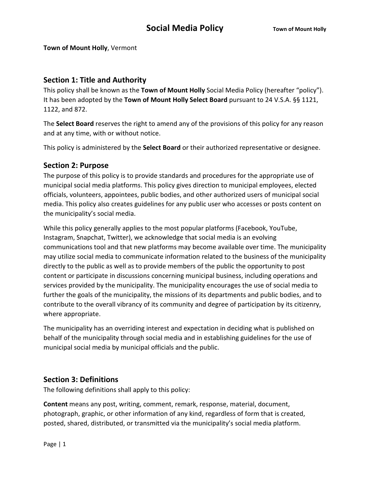**Town of Mount Holly**, Vermont

### **Section 1: Title and Authority**

This policy shall be known as the **Town of Mount Holly** Social Media Policy (hereafter "policy"). It has been adopted by the **Town of Mount Holly Select Board** pursuant to 24 V.S.A. §§ 1121, 1122, and 872.

The **Select Board** reserves the right to amend any of the provisions of this policy for any reason and at any time, with or without notice.

This policy is administered by the **Select Board** or their authorized representative or designee.

### **Section 2: Purpose**

The purpose of this policy is to provide standards and procedures for the appropriate use of municipal social media platforms. This policy gives direction to municipal employees, elected officials, volunteers, appointees, public bodies, and other authorized users of municipal social media. This policy also creates guidelines for any public user who accesses or posts content on the municipality's social media.

While this policy generally applies to the most popular platforms (Facebook, YouTube, Instagram, Snapchat, Twitter), we acknowledge that social media is an evolving communications tool and that new platforms may become available over time. The municipality may utilize social media to communicate information related to the business of the municipality directly to the public as well as to provide members of the public the opportunity to post content or participate in discussions concerning municipal business, including operations and services provided by the municipality. The municipality encourages the use of social media to further the goals of the municipality, the missions of its departments and public bodies, and to contribute to the overall vibrancy of its community and degree of participation by its citizenry, where appropriate.

The municipality has an overriding interest and expectation in deciding what is published on behalf of the municipality through social media and in establishing guidelines for the use of municipal social media by municipal officials and the public.

### **Section 3: Definitions**

The following definitions shall apply to this policy:

**Content** means any post, writing, comment, remark, response, material, document, photograph, graphic, or other information of any kind, regardless of form that is created, posted, shared, distributed, or transmitted via the municipality's social media platform.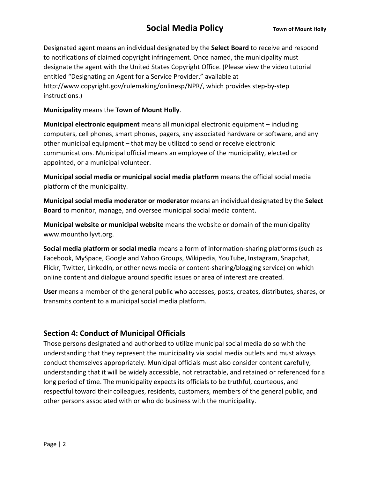Designated agent means an individual designated by the **Select Board** to receive and respond to notifications of claimed copyright infringement. Once named, the municipality must designate the agent with the United States Copyright Office. (Please view the video tutorial entitled "Designating an Agent for a Service Provider," available at http://www.copyright.gov/rulemaking/onlinesp/NPR/, which provides step-by-step instructions.)

**Municipality** means the **Town of Mount Holly**.

**Municipal electronic equipment** means all municipal electronic equipment – including computers, cell phones, smart phones, pagers, any associated hardware or software, and any other municipal equipment – that may be utilized to send or receive electronic communications. Municipal official means an employee of the municipality, elected or appointed, or a municipal volunteer.

**Municipal social media or municipal social media platform** means the official social media platform of the municipality.

**Municipal social media moderator or moderator** means an individual designated by the **Select Board** to monitor, manage, and oversee municipal social media content.

**Municipal website or municipal website** means the website or domain of the municipality www.mounthollyvt.org.

**Social media platform or social media** means a form of information-sharing platforms (such as Facebook, MySpace, Google and Yahoo Groups, Wikipedia, YouTube, Instagram, Snapchat, Flickr, Twitter, LinkedIn, or other news media or content-sharing/blogging service) on which online content and dialogue around specific issues or area of interest are created.

**User** means a member of the general public who accesses, posts, creates, distributes, shares, or transmits content to a municipal social media platform.

#### **Section 4: Conduct of Municipal Officials**

Those persons designated and authorized to utilize municipal social media do so with the understanding that they represent the municipality via social media outlets and must always conduct themselves appropriately. Municipal officials must also consider content carefully, understanding that it will be widely accessible, not retractable, and retained or referenced for a long period of time. The municipality expects its officials to be truthful, courteous, and respectful toward their colleagues, residents, customers, members of the general public, and other persons associated with or who do business with the municipality.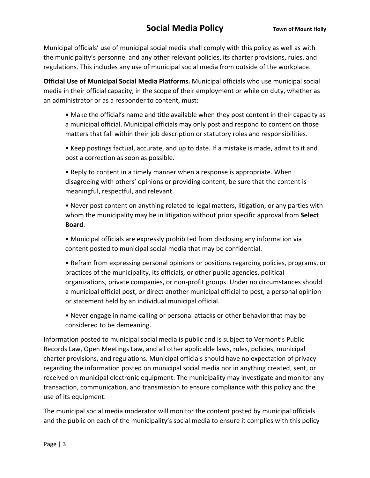Municipal officials' use of municipal social media shall comply with this policy as well as with the municipality's personnel and any other relevant policies, its charter provisions, rules, and regulations. This includes any use of municipal social media from outside of the workplace.

**Official Use of Municipal Social Media Platforms.** Municipal officials who use municipal social media in their official capacity, in the scope of their employment or while on duty, whether as an administrator or as a responder to content, must:

• Make the official's name and title available when they post content in their capacity as a municipal official. Municipal officials may only post and respond to content on those matters that fall within their job description or statutory roles and responsibilities.

• Keep postings factual, accurate, and up to date. If a mistake is made, admit to it and post a correction as soon as possible.

• Reply to content in a timely manner when a response is appropriate. When disagreeing with others' opinions or providing content, be sure that the content is meaningful, respectful, and relevant.

• Never post content on anything related to legal matters, litigation, or any parties with whom the municipality may be in litigation without prior specific approval from **Select Board**.

• Municipal officials are expressly prohibited from disclosing any information via content posted to municipal social media that may be confidential.

• Refrain from expressing personal opinions or positions regarding policies, programs, or practices of the municipality, its officials, or other public agencies, political organizations, private companies, or non-profit groups. Under no circumstances should a municipal official post, or direct another municipal official to post, a personal opinion or statement held by an individual municipal official.

• Never engage in name-calling or personal attacks or other behavior that may be considered to be demeaning.

Information posted to municipal social media is public and is subject to Vermont's Public Records Law, Open Meetings Law, and all other applicable laws, rules, policies, municipal charter provisions, and regulations. Municipal officials should have no expectation of privacy regarding the information posted on municipal social media nor in anything created, sent, or received on municipal electronic equipment. The municipality may investigate and monitor any transaction, communication, and transmission to ensure compliance with this policy and the use of its equipment.

The municipal social media moderator will monitor the content posted by municipal officials and the public on each of the municipality's social media to ensure it complies with this policy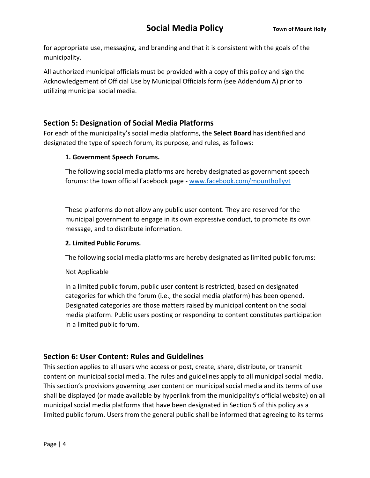for appropriate use, messaging, and branding and that it is consistent with the goals of the municipality.

All authorized municipal officials must be provided with a copy of this policy and sign the Acknowledgement of Official Use by Municipal Officials form (see Addendum A) prior to utilizing municipal social media.

### **Section 5: Designation of Social Media Platforms**

For each of the municipality's social media platforms, the **Select Board** has identified and designated the type of speech forum, its purpose, and rules, as follows:

#### **1. Government Speech Forums.**

The following social media platforms are hereby designated as government speech forums: the town official Facebook page - www.facebook.com/mounthollyvt

These platforms do not allow any public user content. They are reserved for the municipal government to engage in its own expressive conduct, to promote its own message, and to distribute information.

#### **2. Limited Public Forums.**

The following social media platforms are hereby designated as limited public forums:

Not Applicable

In a limited public forum, public user content is restricted, based on designated categories for which the forum (i.e., the social media platform) has been opened. Designated categories are those matters raised by municipal content on the social media platform. Public users posting or responding to content constitutes participation in a limited public forum.

### **Section 6: User Content: Rules and Guidelines**

This section applies to all users who access or post, create, share, distribute, or transmit content on municipal social media. The rules and guidelines apply to all municipal social media. This section's provisions governing user content on municipal social media and its terms of use shall be displayed (or made available by hyperlink from the municipality's official website) on all municipal social media platforms that have been designated in Section 5 of this policy as a limited public forum. Users from the general public shall be informed that agreeing to its terms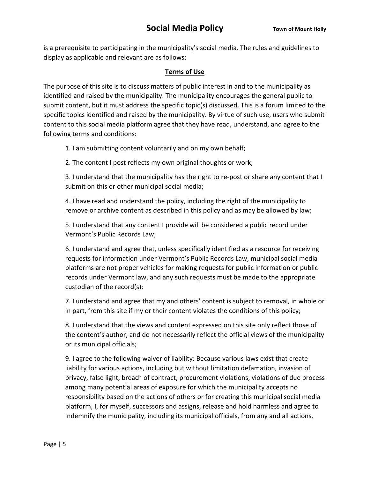is a prerequisite to participating in the municipality's social media. The rules and guidelines to display as applicable and relevant are as follows:

#### **Terms of Use**

The purpose of this site is to discuss matters of public interest in and to the municipality as identified and raised by the municipality. The municipality encourages the general public to submit content, but it must address the specific topic(s) discussed. This is a forum limited to the specific topics identified and raised by the municipality. By virtue of such use, users who submit content to this social media platform agree that they have read, understand, and agree to the following terms and conditions:

1. I am submitting content voluntarily and on my own behalf;

2. The content I post reflects my own original thoughts or work;

3. I understand that the municipality has the right to re-post or share any content that I submit on this or other municipal social media;

4. I have read and understand the policy, including the right of the municipality to remove or archive content as described in this policy and as may be allowed by law;

5. I understand that any content I provide will be considered a public record under Vermont's Public Records Law;

6. I understand and agree that, unless specifically identified as a resource for receiving requests for information under Vermont's Public Records Law, municipal social media platforms are not proper vehicles for making requests for public information or public records under Vermont law, and any such requests must be made to the appropriate custodian of the record(s);

7. I understand and agree that my and others' content is subject to removal, in whole or in part, from this site if my or their content violates the conditions of this policy;

8. I understand that the views and content expressed on this site only reflect those of the content's author, and do not necessarily reflect the official views of the municipality or its municipal officials;

9. I agree to the following waiver of liability: Because various laws exist that create liability for various actions, including but without limitation defamation, invasion of privacy, false light, breach of contract, procurement violations, violations of due process among many potential areas of exposure for which the municipality accepts no responsibility based on the actions of others or for creating this municipal social media platform, I, for myself, successors and assigns, release and hold harmless and agree to indemnify the municipality, including its municipal officials, from any and all actions,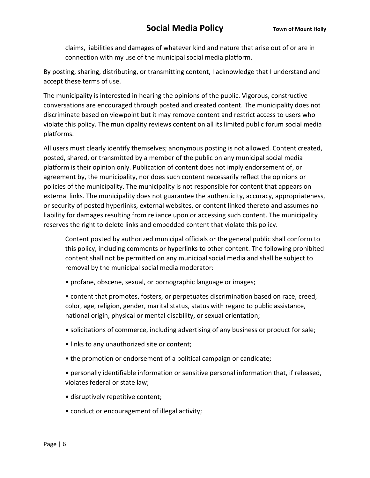claims, liabilities and damages of whatever kind and nature that arise out of or are in connection with my use of the municipal social media platform.

By posting, sharing, distributing, or transmitting content, I acknowledge that I understand and accept these terms of use.

The municipality is interested in hearing the opinions of the public. Vigorous, constructive conversations are encouraged through posted and created content. The municipality does not discriminate based on viewpoint but it may remove content and restrict access to users who violate this policy. The municipality reviews content on all its limited public forum social media platforms.

All users must clearly identify themselves; anonymous posting is not allowed. Content created, posted, shared, or transmitted by a member of the public on any municipal social media platform is their opinion only. Publication of content does not imply endorsement of, or agreement by, the municipality, nor does such content necessarily reflect the opinions or policies of the municipality. The municipality is not responsible for content that appears on external links. The municipality does not guarantee the authenticity, accuracy, appropriateness, or security of posted hyperlinks, external websites, or content linked thereto and assumes no liability for damages resulting from reliance upon or accessing such content. The municipality reserves the right to delete links and embedded content that violate this policy.

Content posted by authorized municipal officials or the general public shall conform to this policy, including comments or hyperlinks to other content. The following prohibited content shall not be permitted on any municipal social media and shall be subject to removal by the municipal social media moderator:

• profane, obscene, sexual, or pornographic language or images;

• content that promotes, fosters, or perpetuates discrimination based on race, creed, color, age, religion, gender, marital status, status with regard to public assistance, national origin, physical or mental disability, or sexual orientation;

- solicitations of commerce, including advertising of any business or product for sale;
- links to any unauthorized site or content;
- the promotion or endorsement of a political campaign or candidate;

• personally identifiable information or sensitive personal information that, if released, violates federal or state law;

- disruptively repetitive content;
- conduct or encouragement of illegal activity;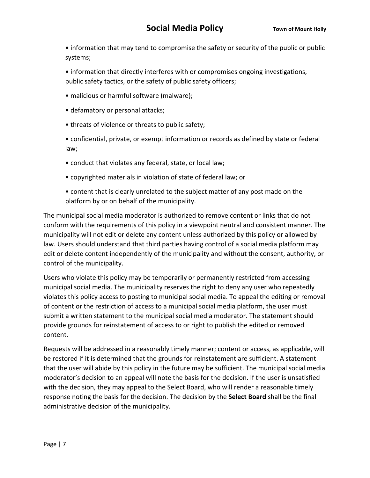• information that may tend to compromise the safety or security of the public or public systems;

• information that directly interferes with or compromises ongoing investigations, public safety tactics, or the safety of public safety officers;

- malicious or harmful software (malware);
- defamatory or personal attacks;
- threats of violence or threats to public safety;

• confidential, private, or exempt information or records as defined by state or federal law;

- conduct that violates any federal, state, or local law;
- copyrighted materials in violation of state of federal law; or
- content that is clearly unrelated to the subject matter of any post made on the platform by or on behalf of the municipality.

The municipal social media moderator is authorized to remove content or links that do not conform with the requirements of this policy in a viewpoint neutral and consistent manner. The municipality will not edit or delete any content unless authorized by this policy or allowed by law. Users should understand that third parties having control of a social media platform may edit or delete content independently of the municipality and without the consent, authority, or control of the municipality.

Users who violate this policy may be temporarily or permanently restricted from accessing municipal social media. The municipality reserves the right to deny any user who repeatedly violates this policy access to posting to municipal social media. To appeal the editing or removal of content or the restriction of access to a municipal social media platform, the user must submit a written statement to the municipal social media moderator. The statement should provide grounds for reinstatement of access to or right to publish the edited or removed content.

Requests will be addressed in a reasonably timely manner; content or access, as applicable, will be restored if it is determined that the grounds for reinstatement are sufficient. A statement that the user will abide by this policy in the future may be sufficient. The municipal social media moderator's decision to an appeal will note the basis for the decision. If the user is unsatisfied with the decision, they may appeal to the Select Board, who will render a reasonable timely response noting the basis for the decision. The decision by the **Select Board** shall be the final administrative decision of the municipality.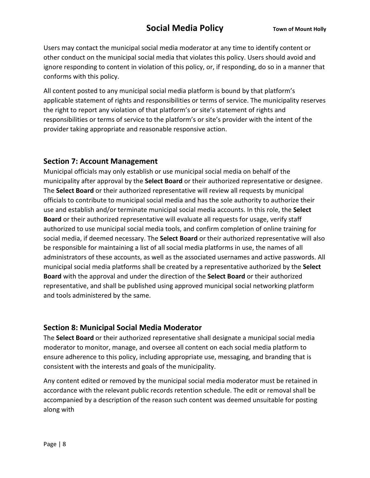Users may contact the municipal social media moderator at any time to identify content or other conduct on the municipal social media that violates this policy. Users should avoid and ignore responding to content in violation of this policy, or, if responding, do so in a manner that conforms with this policy.

All content posted to any municipal social media platform is bound by that platform's applicable statement of rights and responsibilities or terms of service. The municipality reserves the right to report any violation of that platform's or site's statement of rights and responsibilities or terms of service to the platform's or site's provider with the intent of the provider taking appropriate and reasonable responsive action.

#### **Section 7: Account Management**

Municipal officials may only establish or use municipal social media on behalf of the municipality after approval by the **Select Board** or their authorized representative or designee. The **Select Board** or their authorized representative will review all requests by municipal officials to contribute to municipal social media and has the sole authority to authorize their use and establish and/or terminate municipal social media accounts. In this role, the **Select Board** or their authorized representative will evaluate all requests for usage, verify staff authorized to use municipal social media tools, and confirm completion of online training for social media, if deemed necessary. The **Select Board** or their authorized representative will also be responsible for maintaining a list of all social media platforms in use, the names of all administrators of these accounts, as well as the associated usernames and active passwords. All municipal social media platforms shall be created by a representative authorized by the **Select Board** with the approval and under the direction of the **Select Board** or their authorized representative, and shall be published using approved municipal social networking platform and tools administered by the same.

#### **Section 8: Municipal Social Media Moderator**

The **Select Board** or their authorized representative shall designate a municipal social media moderator to monitor, manage, and oversee all content on each social media platform to ensure adherence to this policy, including appropriate use, messaging, and branding that is consistent with the interests and goals of the municipality.

Any content edited or removed by the municipal social media moderator must be retained in accordance with the relevant public records retention schedule. The edit or removal shall be accompanied by a description of the reason such content was deemed unsuitable for posting along with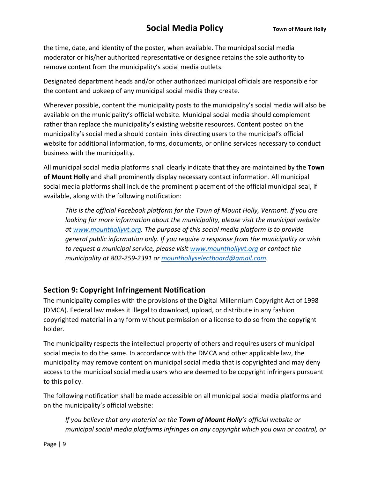the time, date, and identity of the poster, when available. The municipal social media moderator or his/her authorized representative or designee retains the sole authority to remove content from the municipality's social media outlets.

Designated department heads and/or other authorized municipal officials are responsible for the content and upkeep of any municipal social media they create.

Wherever possible, content the municipality posts to the municipality's social media will also be available on the municipality's official website. Municipal social media should complement rather than replace the municipality's existing website resources. Content posted on the municipality's social media should contain links directing users to the municipal's official website for additional information, forms, documents, or online services necessary to conduct business with the municipality.

All municipal social media platforms shall clearly indicate that they are maintained by the **Town of Mount Holly** and shall prominently display necessary contact information. All municipal social media platforms shall include the prominent placement of the official municipal seal, if available, along with the following notification:

*This is the official Facebook platform for the Town of Mount Holly, Vermont. If you are looking for more information about the municipality, please visit the municipal website at www.mounthollyvt.org. The purpose of this social media platform is to provide general public information only. If you require a response from the municipality or wish to request a municipal service, please visit www.mounthollyvt.org or contact the municipality at 802-259-2391 or mounthollyselectboard@gmail.com.* 

#### **Section 9: Copyright Infringement Notification**

The municipality complies with the provisions of the Digital Millennium Copyright Act of 1998 (DMCA). Federal law makes it illegal to download, upload, or distribute in any fashion copyrighted material in any form without permission or a license to do so from the copyright holder.

The municipality respects the intellectual property of others and requires users of municipal social media to do the same. In accordance with the DMCA and other applicable law, the municipality may remove content on municipal social media that is copyrighted and may deny access to the municipal social media users who are deemed to be copyright infringers pursuant to this policy.

The following notification shall be made accessible on all municipal social media platforms and on the municipality's official website:

*If you believe that any material on the Town of Mount Holly's official website or municipal social media platforms infringes on any copyright which you own or control, or*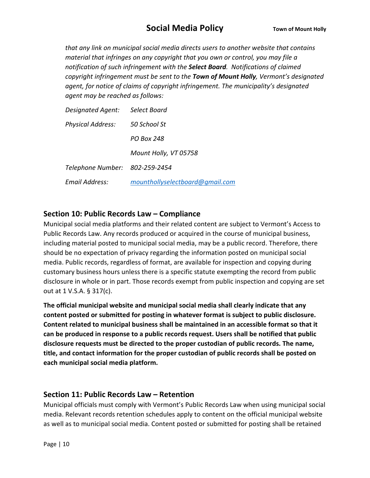*that any link on municipal social media directs users to another website that contains material that infringes on any copyright that you own or control, you may file a notification of such infringement with the Select Board. Notifications of claimed copyright infringement must be sent to the Town of Mount Holly, Vermont's designated agent, for notice of claims of copyright infringement. The municipality's designated agent may be reached as follows:* 

| <b>Designated Agent:</b>       | Select Board                    |
|--------------------------------|---------------------------------|
| <b>Physical Address:</b>       | 50 School St                    |
|                                | PO Box 248                      |
|                                | Mount Holly, VT 05758           |
| Telephone Number: 802-259-2454 |                                 |
| Email Address:                 | mounthollyselectboard@gmail.com |

#### **Section 10: Public Records Law – Compliance**

Municipal social media platforms and their related content are subject to Vermont's Access to Public Records Law. Any records produced or acquired in the course of municipal business, including material posted to municipal social media, may be a public record. Therefore, there should be no expectation of privacy regarding the information posted on municipal social media. Public records, regardless of format, are available for inspection and copying during customary business hours unless there is a specific statute exempting the record from public disclosure in whole or in part. Those records exempt from public inspection and copying are set out at 1 V.S.A. § 317(c).

**The official municipal website and municipal social media shall clearly indicate that any content posted or submitted for posting in whatever format is subject to public disclosure. Content related to municipal business shall be maintained in an accessible format so that it can be produced in response to a public records request. Users shall be notified that public disclosure requests must be directed to the proper custodian of public records. The name, title, and contact information for the proper custodian of public records shall be posted on each municipal social media platform.** 

#### **Section 11: Public Records Law – Retention**

Municipal officials must comply with Vermont's Public Records Law when using municipal social media. Relevant records retention schedules apply to content on the official municipal website as well as to municipal social media. Content posted or submitted for posting shall be retained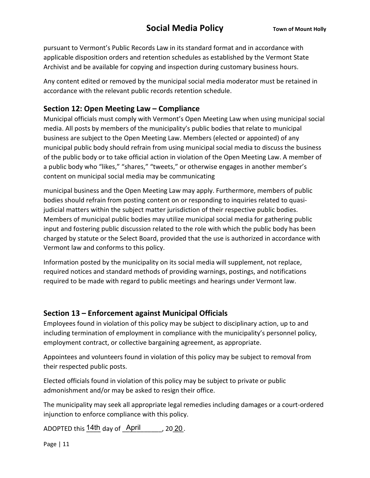pursuant to Vermont's Public Records Law in its standard format and in accordance with applicable disposition orders and retention schedules as established by the Vermont State Archivist and be available for copying and inspection during customary business hours.

Any content edited or removed by the municipal social media moderator must be retained in accordance with the relevant public records retention schedule.

#### **Section 12: Open Meeting Law – Compliance**

Municipal officials must comply with Vermont's Open Meeting Law when using municipal social media. All posts by members of the municipality's public bodies that relate to municipal business are subject to the Open Meeting Law. Members (elected or appointed) of any municipal public body should refrain from using municipal social media to discuss the business of the public body or to take official action in violation of the Open Meeting Law. A member of a public body who "likes," "shares," "tweets," or otherwise engages in another member's content on municipal social media may be communicating

municipal business and the Open Meeting Law may apply. Furthermore, members of public bodies should refrain from posting content on or responding to inquiries related to quasijudicial matters within the subject matter jurisdiction of their respective public bodies. Members of municipal public bodies may utilize municipal social media for gathering public input and fostering public discussion related to the role with which the public body has been charged by statute or the Select Board, provided that the use is authorized in accordance with Vermont law and conforms to this policy.

Information posted by the municipality on its social media will supplement, not replace, required notices and standard methods of providing warnings, postings, and notifications required to be made with regard to public meetings and hearings under Vermont law.

#### **Section 13 – Enforcement against Municipal Officials**

Employees found in violation of this policy may be subject to disciplinary action, up to and including termination of employment in compliance with the municipality's personnel policy, employment contract, or collective bargaining agreement, as appropriate.

Appointees and volunteers found in violation of this policy may be subject to removal from their respected public posts.

Elected officials found in violation of this policy may be subject to private or public admonishment and/or may be asked to resign their office.

The municipality may seek all appropriate legal remedies including damages or a court-ordered injunction to enforce compliance with this policy.

ADOPTED this  $\frac{14\text{th}}{4}$  day of  $\frac{\text{April}}{4}$ , 2020.

Page | 11